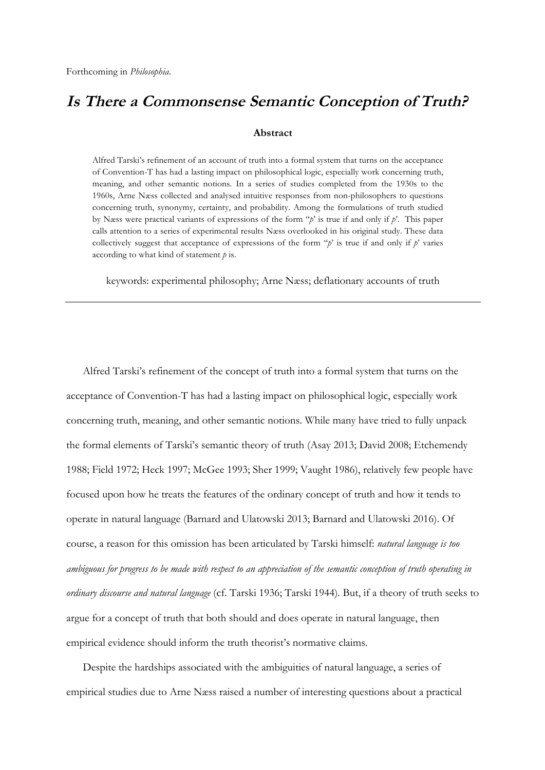# **Is There a Commonsense Semantic Conception of Truth?**

#### **Abstract**

Alfred Tarski's refinement of an account of truth into a formal system that turns on the acceptance of Convention-T has had a lasting impact on philosophical logic, especially work concerning truth, meaning, and other semantic notions. In a series of studies completed from the 1930s to the 1960s, Arne Næss collected and analysed intuitive responses from non-philosophers to questions concerning truth, synonymy, certainty, and probability. Among the formulations of truth studied by Næss were practical variants of expressions of the form ''*p*' is true if and only if *p*'. This paper calls attention to a series of experimental results Næss overlooked in his original study. These data collectively suggest that acceptance of expressions of the form " $p$ ' is true if and only if  $p$ ' varies according to what kind of statement *p* is.

keywords: experimental philosophy; Arne Næss; deflationary accounts of truth

Alfred Tarski's refinement of the concept of truth into a formal system that turns on the acceptance of Convention-T has had a lasting impact on philosophical logic, especially work concerning truth, meaning, and other semantic notions. While many have tried to fully unpack the formal elements of Tarski's semantic theory of truth (Asay 2013; David 2008; Etchemendy 1988; Field 1972; Heck 1997; McGee 1993; Sher 1999; Vaught 1986), relatively few people have focused upon how he treats the features of the ordinary concept of truth and how it tends to operate in natural language (Barnard and Ulatowski 2013; Barnard and Ulatowski 2016). Of course, a reason for this omission has been articulated by Tarski himself: *natural language is too ambiguous for progress to be made with respect to an appreciation of the semantic conception of truth operating in ordinary discourse and natural language* (cf. Tarski 1936; Tarski 1944)*.* But, if a theory of truth seeks to argue for a concept of truth that both should and does operate in natural language, then empirical evidence should inform the truth theorist's normative claims.

Despite the hardships associated with the ambiguities of natural language, a series of empirical studies due to Arne Næss raised a number of interesting questions about a practical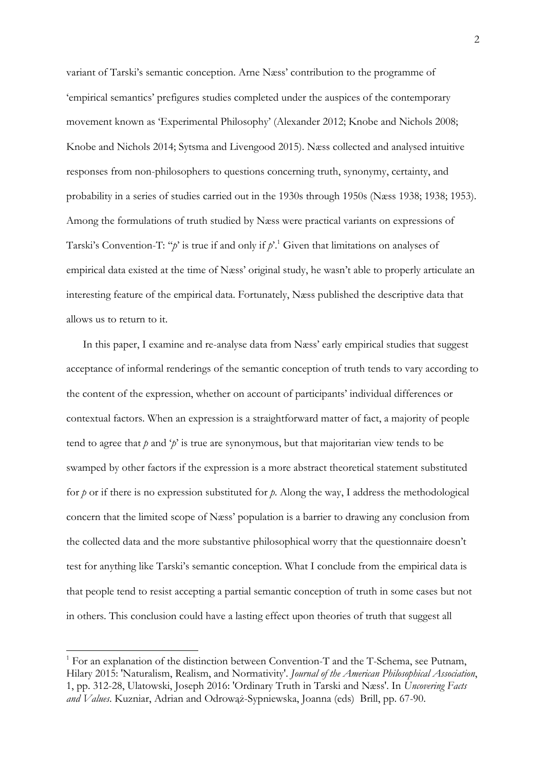variant of Tarski's semantic conception. Arne Næss' contribution to the programme of 'empirical semantics' prefigures studies completed under the auspices of the contemporary movement known as 'Experimental Philosophy' (Alexander 2012; Knobe and Nichols 2008; Knobe and Nichols 2014; Sytsma and Livengood 2015). Næss collected and analysed intuitive responses from non-philosophers to questions concerning truth, synonymy, certainty, and probability in a series of studies carried out in the 1930s through 1950s (Næss 1938; 1938; 1953). Among the formulations of truth studied by Næss were practical variants on expressions of Tarski's Convention-T: " $p$ ' is true if and only if  $p'$ .<sup>1</sup> Given that limitations on analyses of empirical data existed at the time of Næss' original study, he wasn't able to properly articulate an interesting feature of the empirical data. Fortunately, Næss published the descriptive data that allows us to return to it.

In this paper, I examine and re-analyse data from Næss' early empirical studies that suggest acceptance of informal renderings of the semantic conception of truth tends to vary according to the content of the expression, whether on account of participants' individual differences or contextual factors. When an expression is a straightforward matter of fact, a majority of people tend to agree that  $p$  and  $p'$  is true are synonymous, but that majoritarian view tends to be swamped by other factors if the expression is a more abstract theoretical statement substituted for  $p$  or if there is no expression substituted for  $p$ . Along the way, I address the methodological concern that the limited scope of Næss' population is a barrier to drawing any conclusion from the collected data and the more substantive philosophical worry that the questionnaire doesn't test for anything like Tarski's semantic conception. What I conclude from the empirical data is that people tend to resist accepting a partial semantic conception of truth in some cases but not in others. This conclusion could have a lasting effect upon theories of truth that suggest all

 $\overline{a}$ 

 $1$  For an explanation of the distinction between Convention-T and the T-Schema, see Putnam, Hilary 2015: 'Naturalism, Realism, and Normativity'. *Journal of the American Philosophical Association*, 1, pp. 312-28, Ulatowski, Joseph 2016: 'Ordinary Truth in Tarski and Næss'. In *Uncovering Facts and Values*. Kuzniar, Adrian and Odrowąż-Sypniewska, Joanna (eds) Brill, pp. 67-90.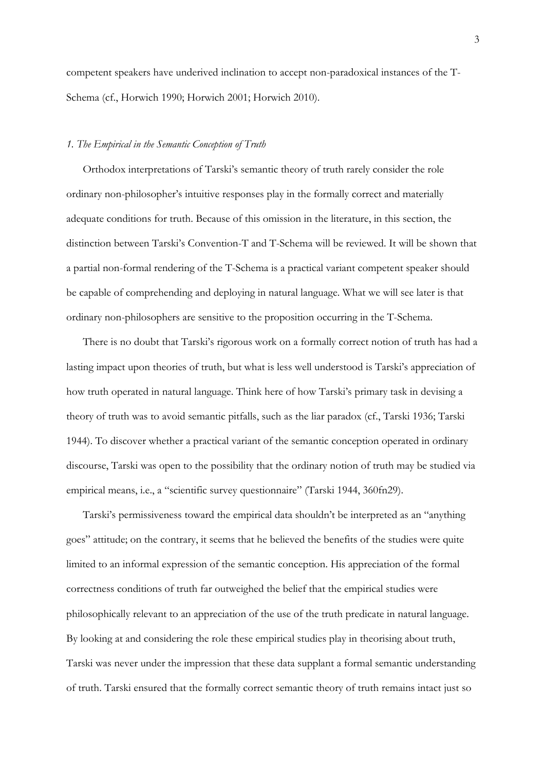competent speakers have underived inclination to accept non-paradoxical instances of the T-Schema (cf., Horwich 1990; Horwich 2001; Horwich 2010).

#### *1. The Empirical in the Semantic Conception of Truth*

Orthodox interpretations of Tarski's semantic theory of truth rarely consider the role ordinary non-philosopher's intuitive responses play in the formally correct and materially adequate conditions for truth. Because of this omission in the literature, in this section, the distinction between Tarski's Convention-T and T-Schema will be reviewed. It will be shown that a partial non-formal rendering of the T-Schema is a practical variant competent speaker should be capable of comprehending and deploying in natural language. What we will see later is that ordinary non-philosophers are sensitive to the proposition occurring in the T-Schema.

There is no doubt that Tarski's rigorous work on a formally correct notion of truth has had a lasting impact upon theories of truth, but what is less well understood is Tarski's appreciation of how truth operated in natural language. Think here of how Tarski's primary task in devising a theory of truth was to avoid semantic pitfalls, such as the liar paradox (cf., Tarski 1936; Tarski 1944). To discover whether a practical variant of the semantic conception operated in ordinary discourse, Tarski was open to the possibility that the ordinary notion of truth may be studied via empirical means, i.e., a "scientific survey questionnaire" (Tarski 1944, 360fn29).

Tarski's permissiveness toward the empirical data shouldn't be interpreted as an "anything goes" attitude; on the contrary, it seems that he believed the benefits of the studies were quite limited to an informal expression of the semantic conception. His appreciation of the formal correctness conditions of truth far outweighed the belief that the empirical studies were philosophically relevant to an appreciation of the use of the truth predicate in natural language. By looking at and considering the role these empirical studies play in theorising about truth, Tarski was never under the impression that these data supplant a formal semantic understanding of truth. Tarski ensured that the formally correct semantic theory of truth remains intact just so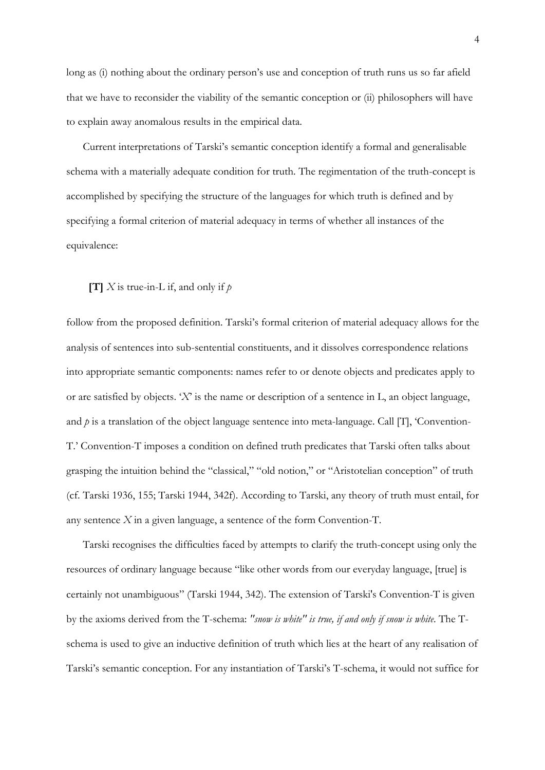long as (i) nothing about the ordinary person's use and conception of truth runs us so far afield that we have to reconsider the viability of the semantic conception or (ii) philosophers will have to explain away anomalous results in the empirical data.

Current interpretations of Tarski's semantic conception identify a formal and generalisable schema with a materially adequate condition for truth. The regimentation of the truth-concept is accomplished by specifying the structure of the languages for which truth is defined and by specifying a formal criterion of material adequacy in terms of whether all instances of the equivalence:

### **[T]** *X* is true-in-L if, and only if *p*

follow from the proposed definition. Tarski's formal criterion of material adequacy allows for the analysis of sentences into sub-sentential constituents, and it dissolves correspondence relations into appropriate semantic components: names refer to or denote objects and predicates apply to or are satisfied by objects. '*X*' is the name or description of a sentence in L, an object language, and  $p$  is a translation of the object language sentence into meta-language. Call  $[T]$ , 'Convention-T.' Convention-T imposes a condition on defined truth predicates that Tarski often talks about grasping the intuition behind the "classical," "old notion," or "Aristotelian conception" of truth (cf. Tarski 1936, 155; Tarski 1944, 342f). According to Tarski, any theory of truth must entail, for any sentence *X* in a given language, a sentence of the form Convention-T.

Tarski recognises the difficulties faced by attempts to clarify the truth-concept using only the resources of ordinary language because "like other words from our everyday language, [true] is certainly not unambiguous" (Tarski 1944, 342). The extension of Tarski's Convention-T is given by the axioms derived from the T-schema: *"snow is white" is true, if and only if snow is white*. The Tschema is used to give an inductive definition of truth which lies at the heart of any realisation of Tarski's semantic conception. For any instantiation of Tarski's T-schema, it would not suffice for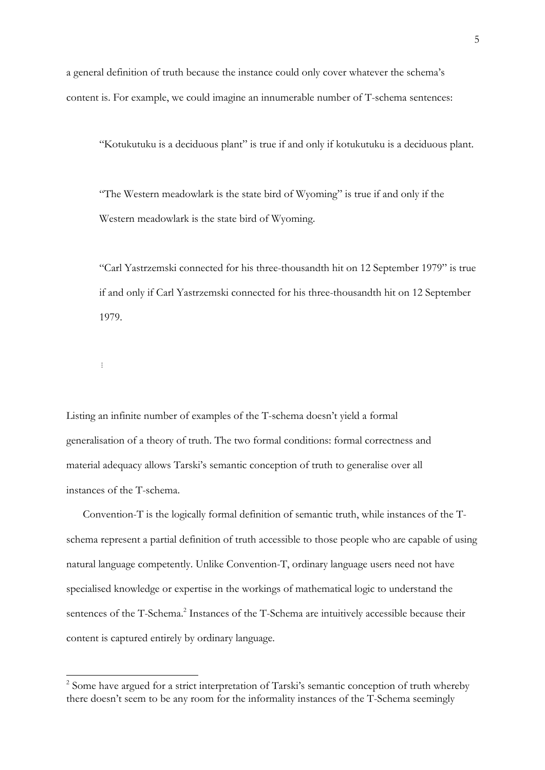a general definition of truth because the instance could only cover whatever the schema's content is. For example, we could imagine an innumerable number of T-schema sentences:

"Kotukutuku is a deciduous plant" is true if and only if kotukutuku is a deciduous plant.

"The Western meadowlark is the state bird of Wyoming" is true if and only if the Western meadowlark is the state bird of Wyoming.

"Carl Yastrzemski connected for his three-thousandth hit on 12 September 1979" is true if and only if Carl Yastrzemski connected for his three-thousandth hit on 12 September 1979.

⋮

Listing an infinite number of examples of the T-schema doesn't yield a formal generalisation of a theory of truth. The two formal conditions: formal correctness and material adequacy allows Tarski's semantic conception of truth to generalise over all instances of the T-schema.

Convention-T is the logically formal definition of semantic truth, while instances of the Tschema represent a partial definition of truth accessible to those people who are capable of using natural language competently. Unlike Convention-T, ordinary language users need not have specialised knowledge or expertise in the workings of mathematical logic to understand the sentences of the T-Schema.<sup>2</sup> Instances of the T-Schema are intuitively accessible because their content is captured entirely by ordinary language.

<sup>&</sup>lt;sup>2</sup> Some have argued for a strict interpretation of Tarski's semantic conception of truth whereby there doesn't seem to be any room for the informality instances of the T-Schema seemingly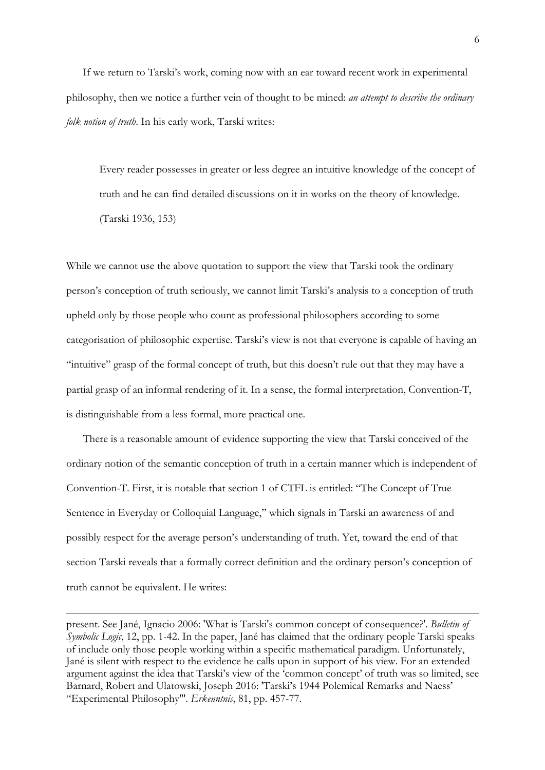If we return to Tarski's work, coming now with an ear toward recent work in experimental philosophy, then we notice a further vein of thought to be mined: *an attempt to describe the ordinary folk notion of truth*. In his early work, Tarski writes:

Every reader possesses in greater or less degree an intuitive knowledge of the concept of truth and he can find detailed discussions on it in works on the theory of knowledge. (Tarski 1936, 153)

While we cannot use the above quotation to support the view that Tarski took the ordinary person's conception of truth seriously, we cannot limit Tarski's analysis to a conception of truth upheld only by those people who count as professional philosophers according to some categorisation of philosophic expertise. Tarski's view is not that everyone is capable of having an "intuitive" grasp of the formal concept of truth, but this doesn't rule out that they may have a partial grasp of an informal rendering of it. In a sense, the formal interpretation, Convention-T, is distinguishable from a less formal, more practical one.

There is a reasonable amount of evidence supporting the view that Tarski conceived of the ordinary notion of the semantic conception of truth in a certain manner which is independent of Convention-T. First, it is notable that section 1 of CTFL is entitled: "The Concept of True Sentence in Everyday or Colloquial Language," which signals in Tarski an awareness of and possibly respect for the average person's understanding of truth. Yet, toward the end of that section Tarski reveals that a formally correct definition and the ordinary person's conception of truth cannot be equivalent. He writes:

present. See Jané, Ignacio 2006: 'What is Tarski's common concept of consequence?'. *Bulletin of Symbolic Logic*, 12, pp. 1-42. In the paper, Jané has claimed that the ordinary people Tarski speaks of include only those people working within a specific mathematical paradigm. Unfortunately, Jané is silent with respect to the evidence he calls upon in support of his view. For an extended argument against the idea that Tarski's view of the 'common concept' of truth was so limited, see Barnard, Robert and Ulatowski, Joseph 2016: 'Tarski's 1944 Polemical Remarks and Naess' "Experimental Philosophy"'. *Erkenntnis*, 81, pp. 457-77.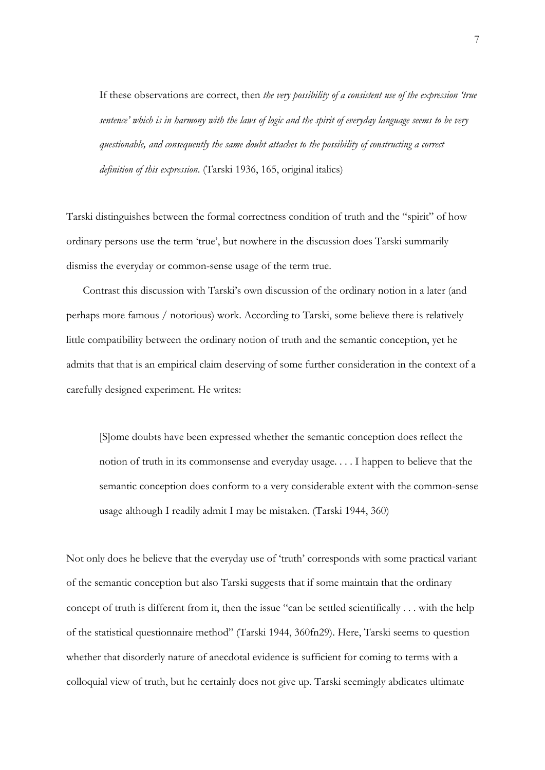If these observations are correct, then *the very possibility of a consistent use of the expression 'true sentence' which is in harmony with the laws of logic and the spirit of everyday language seems to be very questionable, and consequently the same doubt attaches to the possibility of constructing a correct definition of this expression*. (Tarski 1936, 165, original italics)

Tarski distinguishes between the formal correctness condition of truth and the "spirit" of how ordinary persons use the term 'true', but nowhere in the discussion does Tarski summarily dismiss the everyday or common-sense usage of the term true.

Contrast this discussion with Tarski's own discussion of the ordinary notion in a later (and perhaps more famous / notorious) work. According to Tarski, some believe there is relatively little compatibility between the ordinary notion of truth and the semantic conception, yet he admits that that is an empirical claim deserving of some further consideration in the context of a carefully designed experiment. He writes:

[S]ome doubts have been expressed whether the semantic conception does reflect the notion of truth in its commonsense and everyday usage. . . . I happen to believe that the semantic conception does conform to a very considerable extent with the common-sense usage although I readily admit I may be mistaken. (Tarski 1944, 360)

Not only does he believe that the everyday use of 'truth' corresponds with some practical variant of the semantic conception but also Tarski suggests that if some maintain that the ordinary concept of truth is different from it, then the issue "can be settled scientifically . . . with the help of the statistical questionnaire method" (Tarski 1944, 360fn29). Here, Tarski seems to question whether that disorderly nature of anecdotal evidence is sufficient for coming to terms with a colloquial view of truth, but he certainly does not give up. Tarski seemingly abdicates ultimate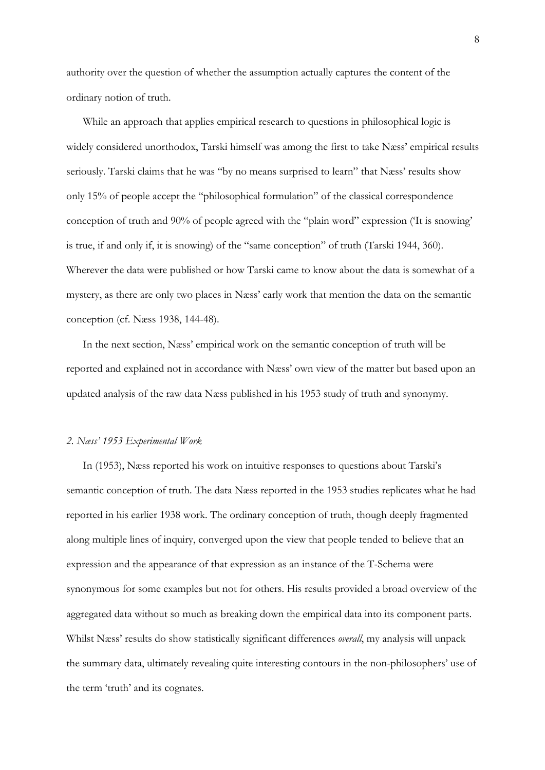authority over the question of whether the assumption actually captures the content of the ordinary notion of truth.

While an approach that applies empirical research to questions in philosophical logic is widely considered unorthodox, Tarski himself was among the first to take Næss' empirical results seriously. Tarski claims that he was "by no means surprised to learn" that Næss' results show only 15% of people accept the "philosophical formulation" of the classical correspondence conception of truth and 90% of people agreed with the "plain word" expression ('It is snowing' is true, if and only if, it is snowing) of the "same conception" of truth (Tarski 1944, 360). Wherever the data were published or how Tarski came to know about the data is somewhat of a mystery, as there are only two places in Næss' early work that mention the data on the semantic conception (cf. Næss 1938, 144-48).

In the next section, Næss' empirical work on the semantic conception of truth will be reported and explained not in accordance with Næss' own view of the matter but based upon an updated analysis of the raw data Næss published in his 1953 study of truth and synonymy.

#### *2. Næss' 1953 Experimental Work*

In (1953), Næss reported his work on intuitive responses to questions about Tarski's semantic conception of truth. The data Næss reported in the 1953 studies replicates what he had reported in his earlier 1938 work. The ordinary conception of truth, though deeply fragmented along multiple lines of inquiry, converged upon the view that people tended to believe that an expression and the appearance of that expression as an instance of the T-Schema were synonymous for some examples but not for others. His results provided a broad overview of the aggregated data without so much as breaking down the empirical data into its component parts. Whilst Næss' results do show statistically significant differences *overall*, my analysis will unpack the summary data, ultimately revealing quite interesting contours in the non-philosophers' use of the term 'truth' and its cognates.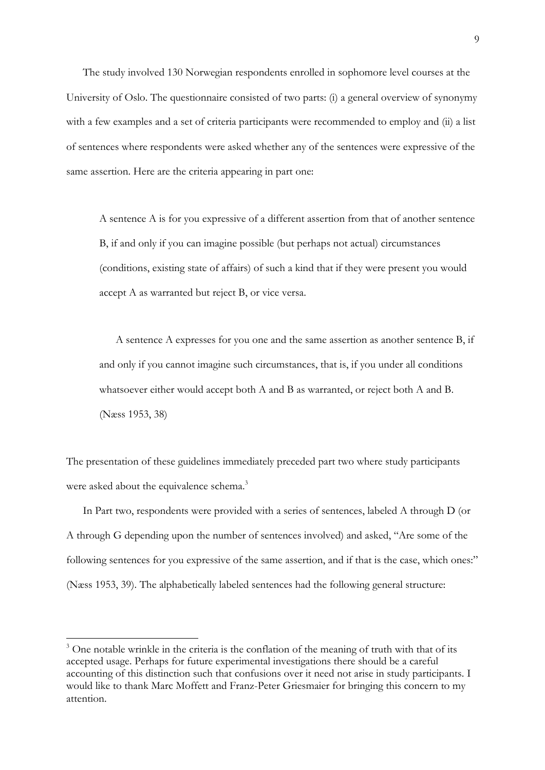The study involved 130 Norwegian respondents enrolled in sophomore level courses at the University of Oslo. The questionnaire consisted of two parts: (i) a general overview of synonymy with a few examples and a set of criteria participants were recommended to employ and (ii) a list of sentences where respondents were asked whether any of the sentences were expressive of the same assertion. Here are the criteria appearing in part one:

A sentence A is for you expressive of a different assertion from that of another sentence B, if and only if you can imagine possible (but perhaps not actual) circumstances (conditions, existing state of affairs) of such a kind that if they were present you would accept A as warranted but reject B, or vice versa.

A sentence A expresses for you one and the same assertion as another sentence B, if and only if you cannot imagine such circumstances, that is, if you under all conditions whatsoever either would accept both A and B as warranted, or reject both A and B. (Næss 1953, 38)

The presentation of these guidelines immediately preceded part two where study participants were asked about the equivalence schema.<sup>3</sup>

In Part two, respondents were provided with a series of sentences, labeled A through D (or A through G depending upon the number of sentences involved) and asked, "Are some of the following sentences for you expressive of the same assertion, and if that is the case, which ones:" (Næss 1953, 39). The alphabetically labeled sentences had the following general structure:

<sup>&</sup>lt;sup>3</sup> One notable wrinkle in the criteria is the conflation of the meaning of truth with that of its accepted usage. Perhaps for future experimental investigations there should be a careful accounting of this distinction such that confusions over it need not arise in study participants. I would like to thank Marc Moffett and Franz-Peter Griesmaier for bringing this concern to my attention.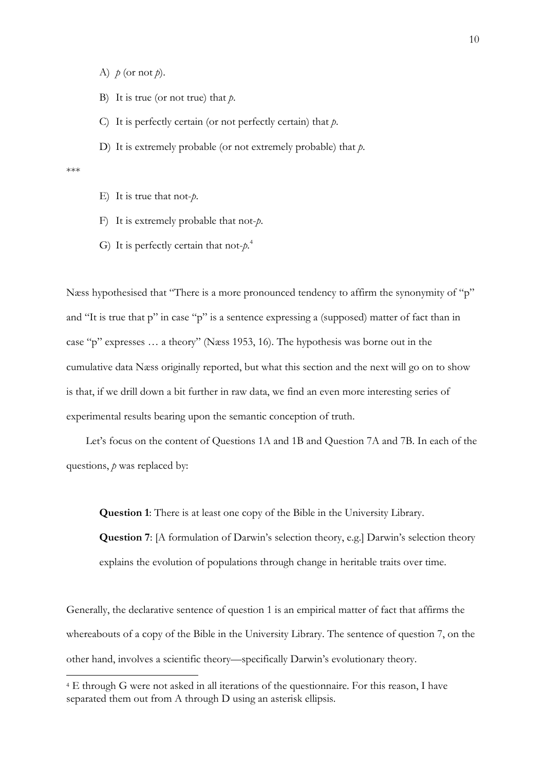A) *p* (or not *p*).

B) It is true (or not true) that *p*.

C) It is perfectly certain (or not perfectly certain) that *p*.

D) It is extremely probable (or not extremely probable) that *p*.

#### \*\*\*

- E) It is true that not-*p*.
- F) It is extremely probable that not-*p*.
- G) It is perfectly certain that not-*p*. 4

Næss hypothesised that "There is a more pronounced tendency to affirm the synonymity of "p" and "It is true that p" in case "p" is a sentence expressing a (supposed) matter of fact than in case "p" expresses … a theory" (Næss 1953, 16). The hypothesis was borne out in the cumulative data Næss originally reported, but what this section and the next will go on to show is that, if we drill down a bit further in raw data, we find an even more interesting series of experimental results bearing upon the semantic conception of truth.

Let's focus on the content of Questions 1A and 1B and Question 7A and 7B. In each of the questions, *p* was replaced by:

**Question 1**: There is at least one copy of the Bible in the University Library.

**Question 7**: [A formulation of Darwin's selection theory, e.g.] Darwin's selection theory explains the evolution of populations through change in heritable traits over time.

Generally, the declarative sentence of question 1 is an empirical matter of fact that affirms the whereabouts of a copy of the Bible in the University Library. The sentence of question 7, on the other hand, involves a scientific theory—specifically Darwin's evolutionary theory.

<sup>4</sup> E through G were not asked in all iterations of the questionnaire. For this reason, I have separated them out from A through D using an asterisk ellipsis.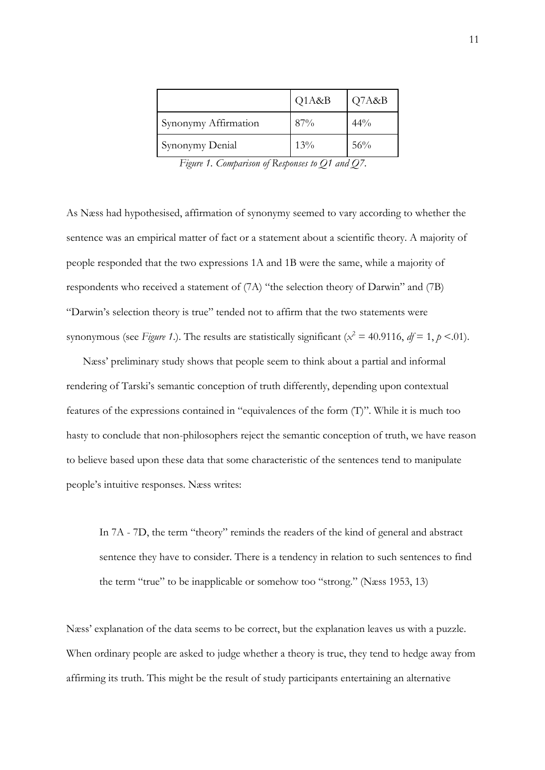|                      | Q1A&B  | Q7A&B  |
|----------------------|--------|--------|
| Synonymy Affirmation | $87\%$ | $44\%$ |
| Synonymy Denial      | 13%    | 56%    |

*Figure 1. Comparison of Responses to Q1 and Q7*.

As Næss had hypothesised, affirmation of synonymy seemed to vary according to whether the sentence was an empirical matter of fact or a statement about a scientific theory. A majority of people responded that the two expressions 1A and 1B were the same, while a majority of respondents who received a statement of (7A) "the selection theory of Darwin" and (7B) "Darwin's selection theory is true" tended not to affirm that the two statements were synonymous (see *Figure 1*.). The results are statistically significant ( $x^2 = 40.9116$ ,  $df = 1$ ,  $p < 01$ ).

Næss' preliminary study shows that people seem to think about a partial and informal rendering of Tarski's semantic conception of truth differently, depending upon contextual features of the expressions contained in "equivalences of the form (T)". While it is much too hasty to conclude that non-philosophers reject the semantic conception of truth, we have reason to believe based upon these data that some characteristic of the sentences tend to manipulate people's intuitive responses. Næss writes:

In 7A - 7D, the term "theory" reminds the readers of the kind of general and abstract sentence they have to consider. There is a tendency in relation to such sentences to find the term "true" to be inapplicable or somehow too "strong." (Næss 1953, 13)

Næss' explanation of the data seems to be correct, but the explanation leaves us with a puzzle. When ordinary people are asked to judge whether a theory is true, they tend to hedge away from affirming its truth. This might be the result of study participants entertaining an alternative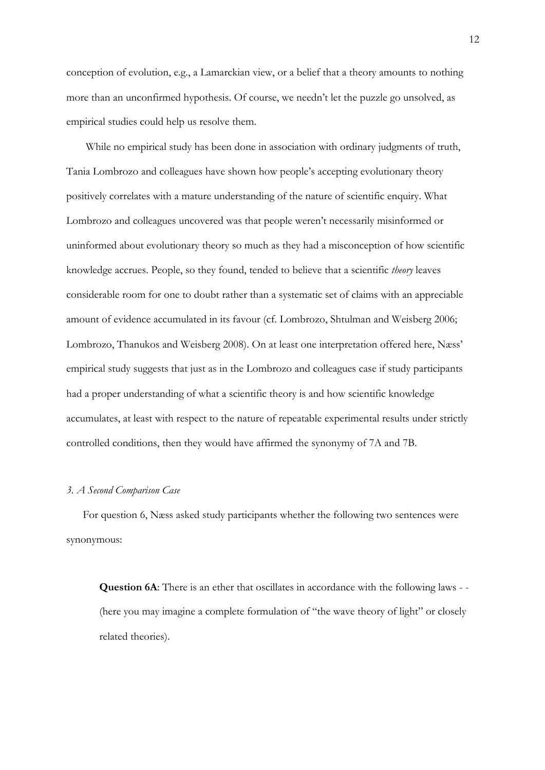conception of evolution, e.g., a Lamarckian view, or a belief that a theory amounts to nothing more than an unconfirmed hypothesis. Of course, we needn't let the puzzle go unsolved, as empirical studies could help us resolve them.

While no empirical study has been done in association with ordinary judgments of truth, Tania Lombrozo and colleagues have shown how people's accepting evolutionary theory positively correlates with a mature understanding of the nature of scientific enquiry. What Lombrozo and colleagues uncovered was that people weren't necessarily misinformed or uninformed about evolutionary theory so much as they had a misconception of how scientific knowledge accrues. People, so they found, tended to believe that a scientific *theory* leaves considerable room for one to doubt rather than a systematic set of claims with an appreciable amount of evidence accumulated in its favour (cf. Lombrozo, Shtulman and Weisberg 2006; Lombrozo, Thanukos and Weisberg 2008). On at least one interpretation offered here, Næss' empirical study suggests that just as in the Lombrozo and colleagues case if study participants had a proper understanding of what a scientific theory is and how scientific knowledge accumulates, at least with respect to the nature of repeatable experimental results under strictly controlled conditions, then they would have affirmed the synonymy of 7A and 7B.

#### *3. A Second Comparison Case*

For question 6, Næss asked study participants whether the following two sentences were synonymous:

**Question 6A**: There is an ether that oscillates in accordance with the following laws - - (here you may imagine a complete formulation of "the wave theory of light" or closely related theories).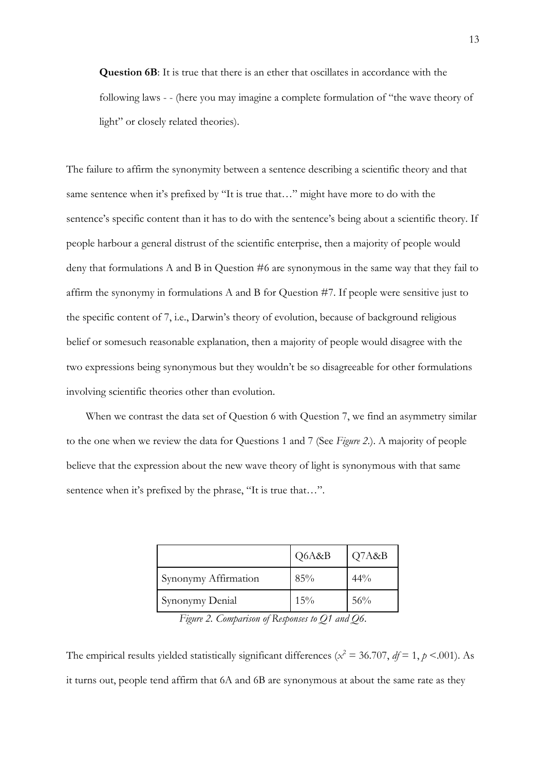**Question 6B**: It is true that there is an ether that oscillates in accordance with the following laws - - (here you may imagine a complete formulation of "the wave theory of light" or closely related theories).

The failure to affirm the synonymity between a sentence describing a scientific theory and that same sentence when it's prefixed by "It is true that…" might have more to do with the sentence's specific content than it has to do with the sentence's being about a scientific theory. If people harbour a general distrust of the scientific enterprise, then a majority of people would deny that formulations A and B in Question #6 are synonymous in the same way that they fail to affirm the synonymy in formulations A and B for Question #7. If people were sensitive just to the specific content of 7, i.e., Darwin's theory of evolution, because of background religious belief or somesuch reasonable explanation, then a majority of people would disagree with the two expressions being synonymous but they wouldn't be so disagreeable for other formulations involving scientific theories other than evolution.

When we contrast the data set of Question 6 with Question 7, we find an asymmetry similar to the one when we review the data for Questions 1 and 7 (See *Figure 2*.). A majority of people believe that the expression about the new wave theory of light is synonymous with that same sentence when it's prefixed by the phrase, "It is true that...".

|                      | Q6A&B | Q7A&B  |
|----------------------|-------|--------|
| Synonymy Affirmation | 85%   | $44\%$ |
| Synonymy Denial      | 15%   | 56%    |

*Figure 2. Comparison of Responses to Q1 and Q6*.

The empirical results yielded statistically significant differences ( $x^2 = 36.707$ ,  $df = 1$ ,  $p < .001$ ). As it turns out, people tend affirm that 6A and 6B are synonymous at about the same rate as they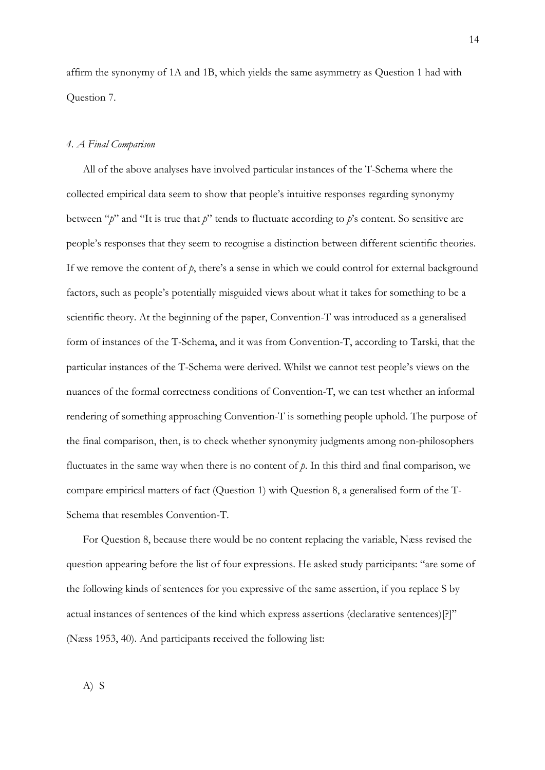affirm the synonymy of 1A and 1B, which yields the same asymmetry as Question 1 had with Question 7.

#### *4. A Final Comparison*

All of the above analyses have involved particular instances of the T-Schema where the collected empirical data seem to show that people's intuitive responses regarding synonymy between "*p*" and "It is true that *p*" tends to fluctuate according to *p*'s content. So sensitive are people's responses that they seem to recognise a distinction between different scientific theories. If we remove the content of  $p$ , there's a sense in which we could control for external background factors, such as people's potentially misguided views about what it takes for something to be a scientific theory. At the beginning of the paper, Convention-T was introduced as a generalised form of instances of the T-Schema, and it was from Convention-T, according to Tarski, that the particular instances of the T-Schema were derived. Whilst we cannot test people's views on the nuances of the formal correctness conditions of Convention-T, we can test whether an informal rendering of something approaching Convention-T is something people uphold. The purpose of the final comparison, then, is to check whether synonymity judgments among non-philosophers fluctuates in the same way when there is no content of *p*. In this third and final comparison, we compare empirical matters of fact (Question 1) with Question 8, a generalised form of the T-Schema that resembles Convention-T.

For Question 8, because there would be no content replacing the variable, Næss revised the question appearing before the list of four expressions. He asked study participants: "are some of the following kinds of sentences for you expressive of the same assertion, if you replace S by actual instances of sentences of the kind which express assertions (declarative sentences)[?]" (Næss 1953, 40). And participants received the following list: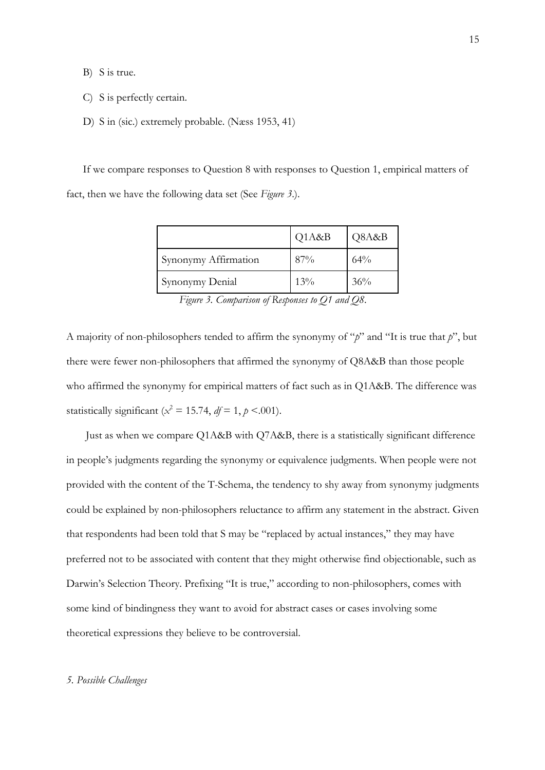- B) S is true.
- C) S is perfectly certain.
- D) S in (sic.) extremely probable. (Næss 1953, 41)

If we compare responses to Question 8 with responses to Question 1, empirical matters of fact, then we have the following data set (See *Figure 3*.).

|                      | Q1A&B | Q8A&B |
|----------------------|-------|-------|
| Synonymy Affirmation | 87%   | 64%   |
| Synonymy Denial      | 13%   | 36%   |

*Figure 3. Comparison of Responses to Q1 and Q8*.

A majority of non-philosophers tended to affirm the synonymy of "*p*" and "It is true that *p*", but there were fewer non-philosophers that affirmed the synonymy of Q8A&B than those people who affirmed the synonymy for empirical matters of fact such as in Q1A&B. The difference was statistically significant ( $x^2 = 15.74$ ,  $df = 1$ ,  $p \le 0.001$ ).

Just as when we compare Q1A&B with Q7A&B, there is a statistically significant difference in people's judgments regarding the synonymy or equivalence judgments. When people were not provided with the content of the T-Schema, the tendency to shy away from synonymy judgments could be explained by non-philosophers reluctance to affirm any statement in the abstract. Given that respondents had been told that S may be "replaced by actual instances," they may have preferred not to be associated with content that they might otherwise find objectionable, such as Darwin's Selection Theory. Prefixing "It is true," according to non-philosophers, comes with some kind of bindingness they want to avoid for abstract cases or cases involving some theoretical expressions they believe to be controversial.

#### *5. Possible Challenges*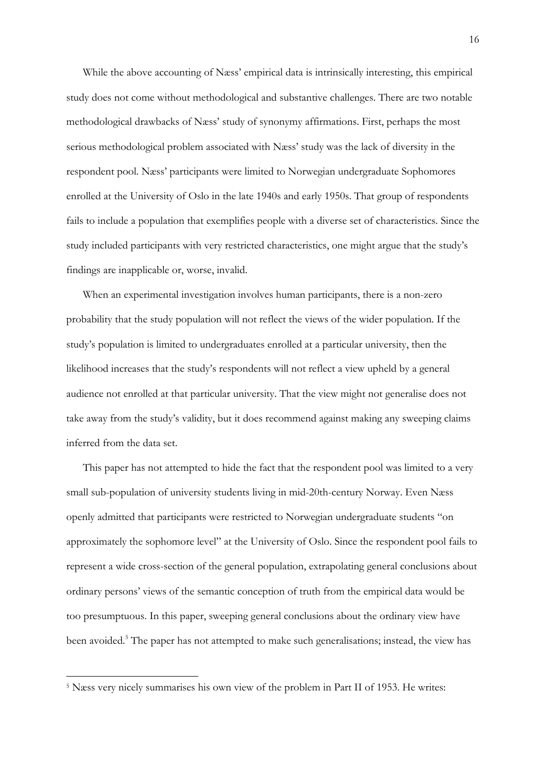While the above accounting of Næss' empirical data is intrinsically interesting, this empirical study does not come without methodological and substantive challenges. There are two notable methodological drawbacks of Næss' study of synonymy affirmations. First, perhaps the most serious methodological problem associated with Næss' study was the lack of diversity in the respondent pool. Næss' participants were limited to Norwegian undergraduate Sophomores enrolled at the University of Oslo in the late 1940s and early 1950s. That group of respondents fails to include a population that exemplifies people with a diverse set of characteristics. Since the study included participants with very restricted characteristics, one might argue that the study's findings are inapplicable or, worse, invalid.

When an experimental investigation involves human participants, there is a non-zero probability that the study population will not reflect the views of the wider population. If the study's population is limited to undergraduates enrolled at a particular university, then the likelihood increases that the study's respondents will not reflect a view upheld by a general audience not enrolled at that particular university. That the view might not generalise does not take away from the study's validity, but it does recommend against making any sweeping claims inferred from the data set.

This paper has not attempted to hide the fact that the respondent pool was limited to a very small sub-population of university students living in mid-20th-century Norway. Even Næss openly admitted that participants were restricted to Norwegian undergraduate students "on approximately the sophomore level" at the University of Oslo. Since the respondent pool fails to represent a wide cross-section of the general population, extrapolating general conclusions about ordinary persons' views of the semantic conception of truth from the empirical data would be too presumptuous. In this paper, sweeping general conclusions about the ordinary view have been avoided.<sup>5</sup> The paper has not attempted to make such generalisations; instead, the view has

 $\overline{a}$ 

<sup>5</sup> Næss very nicely summarises his own view of the problem in Part II of 1953. He writes: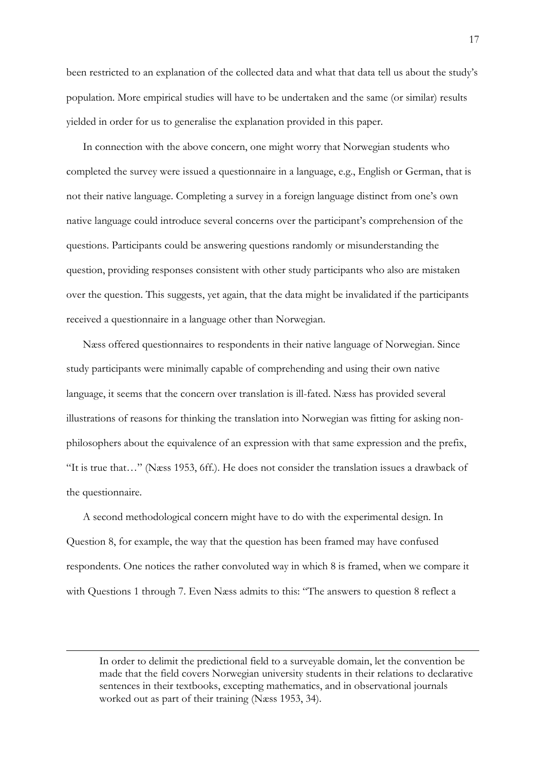been restricted to an explanation of the collected data and what that data tell us about the study's population. More empirical studies will have to be undertaken and the same (or similar) results yielded in order for us to generalise the explanation provided in this paper.

In connection with the above concern, one might worry that Norwegian students who completed the survey were issued a questionnaire in a language, e.g., English or German, that is not their native language. Completing a survey in a foreign language distinct from one's own native language could introduce several concerns over the participant's comprehension of the questions. Participants could be answering questions randomly or misunderstanding the question, providing responses consistent with other study participants who also are mistaken over the question. This suggests, yet again, that the data might be invalidated if the participants received a questionnaire in a language other than Norwegian.

Næss offered questionnaires to respondents in their native language of Norwegian. Since study participants were minimally capable of comprehending and using their own native language, it seems that the concern over translation is ill-fated. Næss has provided several illustrations of reasons for thinking the translation into Norwegian was fitting for asking nonphilosophers about the equivalence of an expression with that same expression and the prefix, "It is true that…" (Næss 1953, 6ff.). He does not consider the translation issues a drawback of the questionnaire.

A second methodological concern might have to do with the experimental design. In Question 8, for example, the way that the question has been framed may have confused respondents. One notices the rather convoluted way in which 8 is framed, when we compare it with Questions 1 through 7. Even Næss admits to this: "The answers to question 8 reflect a

 $\overline{a}$ 

In order to delimit the predictional field to a surveyable domain, let the convention be made that the field covers Norwegian university students in their relations to declarative sentences in their textbooks, excepting mathematics, and in observational journals worked out as part of their training (Næss 1953, 34).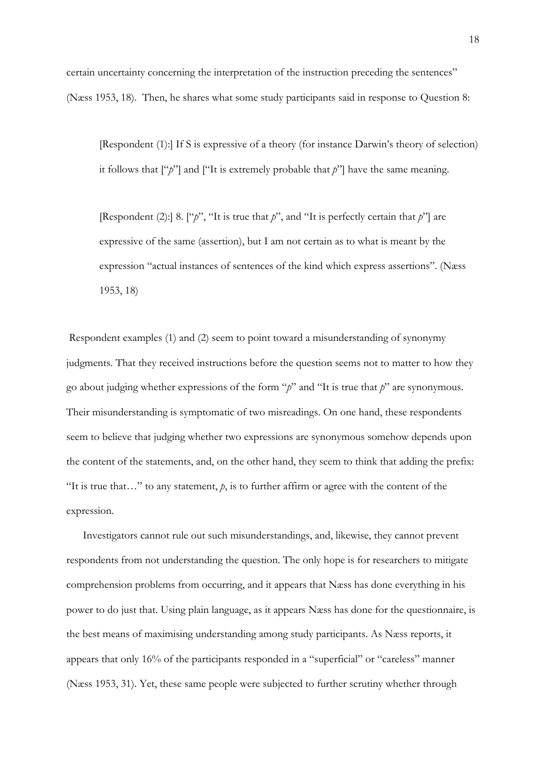certain uncertainty concerning the interpretation of the instruction preceding the sentences" (Næss 1953, 18). Then, he shares what some study participants said in response to Question 8:

[Respondent (1):] If S is expressive of a theory (for instance Darwin's theory of selection) it follows that  $[$ " $\beta$ "] and  $[$ "It is extremely probable that  $\beta$ "] have the same meaning.

[Respondent (2):] 8. ["*p*", "It is true that *p*", and "It is perfectly certain that *p*"] are expressive of the same (assertion), but I am not certain as to what is meant by the expression "actual instances of sentences of the kind which express assertions". (Næss 1953, 18)

Respondent examples (1) and (2) seem to point toward a misunderstanding of synonymy judgments. That they received instructions before the question seems not to matter to how they go about judging whether expressions of the form "*p*" and "It is true that *p*" are synonymous. Their misunderstanding is symptomatic of two misreadings. On one hand, these respondents seem to believe that judging whether two expressions are synonymous somehow depends upon the content of the statements, and, on the other hand, they seem to think that adding the prefix: "It is true that..." to any statement,  $p$ , is to further affirm or agree with the content of the expression.

Investigators cannot rule out such misunderstandings, and, likewise, they cannot prevent respondents from not understanding the question. The only hope is for researchers to mitigate comprehension problems from occurring, and it appears that Næss has done everything in his power to do just that. Using plain language, as it appears Næss has done for the questionnaire, is the best means of maximising understanding among study participants. As Næss reports, it appears that only 16% of the participants responded in a "superficial" or "careless" manner (Næss 1953, 31). Yet, these same people were subjected to further scrutiny whether through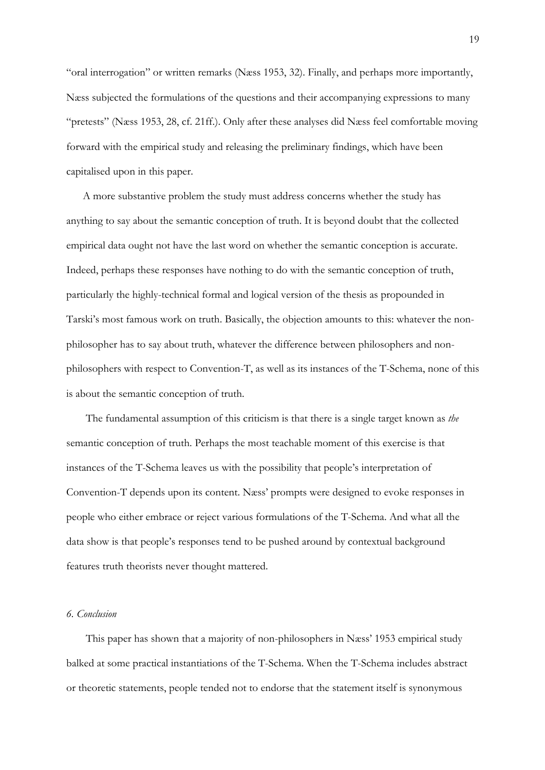"oral interrogation" or written remarks (Næss 1953, 32). Finally, and perhaps more importantly, Næss subjected the formulations of the questions and their accompanying expressions to many "pretests" (Næss 1953, 28, cf. 21ff.). Only after these analyses did Næss feel comfortable moving forward with the empirical study and releasing the preliminary findings, which have been capitalised upon in this paper.

A more substantive problem the study must address concerns whether the study has anything to say about the semantic conception of truth. It is beyond doubt that the collected empirical data ought not have the last word on whether the semantic conception is accurate. Indeed, perhaps these responses have nothing to do with the semantic conception of truth, particularly the highly-technical formal and logical version of the thesis as propounded in Tarski's most famous work on truth. Basically, the objection amounts to this: whatever the nonphilosopher has to say about truth, whatever the difference between philosophers and nonphilosophers with respect to Convention-T, as well as its instances of the T-Schema, none of this is about the semantic conception of truth.

The fundamental assumption of this criticism is that there is a single target known as *the* semantic conception of truth. Perhaps the most teachable moment of this exercise is that instances of the T-Schema leaves us with the possibility that people's interpretation of Convention-T depends upon its content. Næss' prompts were designed to evoke responses in people who either embrace or reject various formulations of the T-Schema. And what all the data show is that people's responses tend to be pushed around by contextual background features truth theorists never thought mattered.

## *6. Conclusion*

This paper has shown that a majority of non-philosophers in Næss' 1953 empirical study balked at some practical instantiations of the T-Schema. When the T-Schema includes abstract or theoretic statements, people tended not to endorse that the statement itself is synonymous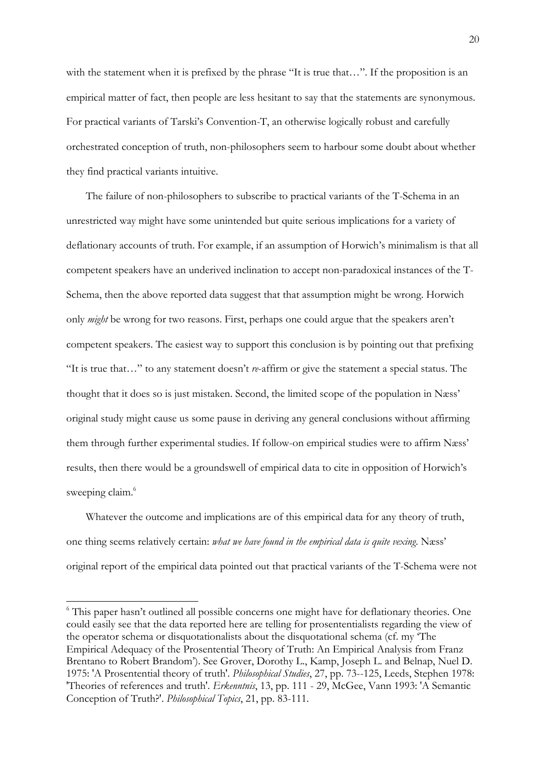with the statement when it is prefixed by the phrase "It is true that...". If the proposition is an empirical matter of fact, then people are less hesitant to say that the statements are synonymous. For practical variants of Tarski's Convention-T, an otherwise logically robust and carefully orchestrated conception of truth, non-philosophers seem to harbour some doubt about whether they find practical variants intuitive.

The failure of non-philosophers to subscribe to practical variants of the T-Schema in an unrestricted way might have some unintended but quite serious implications for a variety of deflationary accounts of truth. For example, if an assumption of Horwich's minimalism is that all competent speakers have an underived inclination to accept non-paradoxical instances of the T-Schema, then the above reported data suggest that that assumption might be wrong. Horwich only *might* be wrong for two reasons. First, perhaps one could argue that the speakers aren't competent speakers. The easiest way to support this conclusion is by pointing out that prefixing "It is true that…" to any statement doesn't *re*-affirm or give the statement a special status. The thought that it does so is just mistaken. Second, the limited scope of the population in Næss' original study might cause us some pause in deriving any general conclusions without affirming them through further experimental studies. If follow-on empirical studies were to affirm Næss' results, then there would be a groundswell of empirical data to cite in opposition of Horwich's sweeping claim.<sup>6</sup>

Whatever the outcome and implications are of this empirical data for any theory of truth, one thing seems relatively certain: *what we have found in the empirical data is quite vexing*. Næss' original report of the empirical data pointed out that practical variants of the T-Schema were not

 $\overline{a}$ 

<sup>&</sup>lt;sup>6</sup> This paper hasn't outlined all possible concerns one might have for deflationary theories. One could easily see that the data reported here are telling for prosententialists regarding the view of the operator schema or disquotationalists about the disquotational schema (cf. my 'The Empirical Adequacy of the Prosentential Theory of Truth: An Empirical Analysis from Franz Brentano to Robert Brandom'). See Grover, Dorothy L., Kamp, Joseph L. and Belnap, Nuel D. 1975: 'A Prosentential theory of truth'. *Philosophical Studies*, 27, pp. 73--125, Leeds, Stephen 1978: 'Theories of references and truth'. *Erkenntnis*, 13, pp. 111 - 29, McGee, Vann 1993: 'A Semantic Conception of Truth?'. *Philosophical Topics*, 21, pp. 83-111.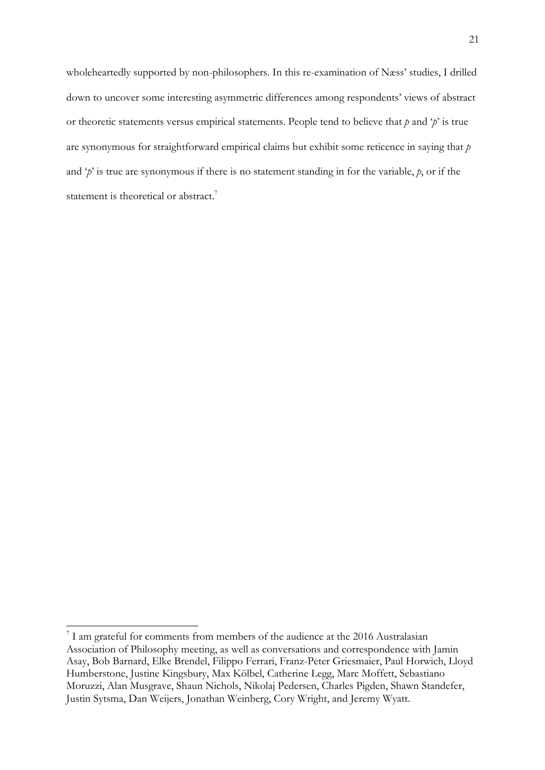wholeheartedly supported by non-philosophers. In this re-examination of Næss' studies, I drilled down to uncover some interesting asymmetric differences among respondents' views of abstract or theoretic statements versus empirical statements. People tend to believe that *p* and '*p*' is true are synonymous for straightforward empirical claims but exhibit some reticence in saying that *p* and '*p*' is true are synonymous if there is no statement standing in for the variable, *p*, or if the statement is theoretical or abstract.<sup>7</sup>

 $\frac{7}{1}$  I am grateful for comments from members of the audience at the 2016 Australasian Association of Philosophy meeting, as well as conversations and correspondence with Jamin Asay, Bob Barnard, Elke Brendel, Filippo Ferrari, Franz-Peter Griesmaier, Paul Horwich, Lloyd Humberstone, Justine Kingsbury, Max Kölbel, Catherine Legg, Marc Moffett, Sebastiano Moruzzi, Alan Musgrave, Shaun Nichols, Nikolaj Pedersen, Charles Pigden, Shawn Standefer, Justin Sytsma, Dan Weijers, Jonathan Weinberg, Cory Wright, and Jeremy Wyatt.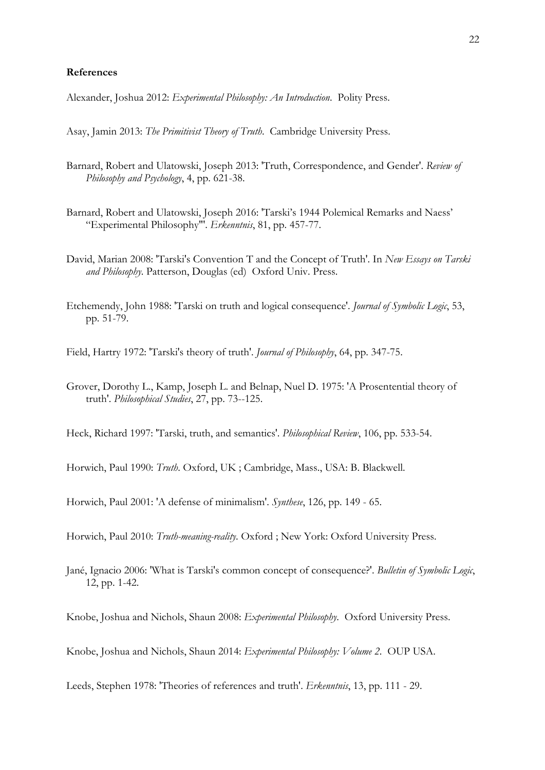#### **References**

Alexander, Joshua 2012: *Experimental Philosophy: An Introduction*. Polity Press.

Asay, Jamin 2013: *The Primitivist Theory of Truth*. Cambridge University Press.

- Barnard, Robert and Ulatowski, Joseph 2013: 'Truth, Correspondence, and Gender'. *Review of Philosophy and Psychology*, 4, pp. 621-38.
- Barnard, Robert and Ulatowski, Joseph 2016: 'Tarski's 1944 Polemical Remarks and Naess' "Experimental Philosophy"'. *Erkenntnis*, 81, pp. 457-77.
- David, Marian 2008: 'Tarski's Convention T and the Concept of Truth'. In *New Essays on Tarski and Philosophy*. Patterson, Douglas (ed) Oxford Univ. Press.
- Etchemendy, John 1988: 'Tarski on truth and logical consequence'. *Journal of Symbolic Logic*, 53, pp. 51-79.

Field, Hartry 1972: 'Tarski's theory of truth'. *Journal of Philosophy*, 64, pp. 347-75.

Grover, Dorothy L., Kamp, Joseph L. and Belnap, Nuel D. 1975: 'A Prosentential theory of truth'. *Philosophical Studies*, 27, pp. 73--125.

Heck, Richard 1997: 'Tarski, truth, and semantics'. *Philosophical Review*, 106, pp. 533-54.

Horwich, Paul 1990: *Truth*. Oxford, UK ; Cambridge, Mass., USA: B. Blackwell.

Horwich, Paul 2001: 'A defense of minimalism'. *Synthese*, 126, pp. 149 - 65.

Horwich, Paul 2010: *Truth-meaning-reality*. Oxford ; New York: Oxford University Press.

Jané, Ignacio 2006: 'What is Tarski's common concept of consequence?'. *Bulletin of Symbolic Logic*, 12, pp. 1-42.

Knobe, Joshua and Nichols, Shaun 2008: *Experimental Philosophy*. Oxford University Press.

Knobe, Joshua and Nichols, Shaun 2014: *Experimental Philosophy: Volume 2*. OUP USA.

Leeds, Stephen 1978: 'Theories of references and truth'. *Erkenntnis*, 13, pp. 111 - 29.